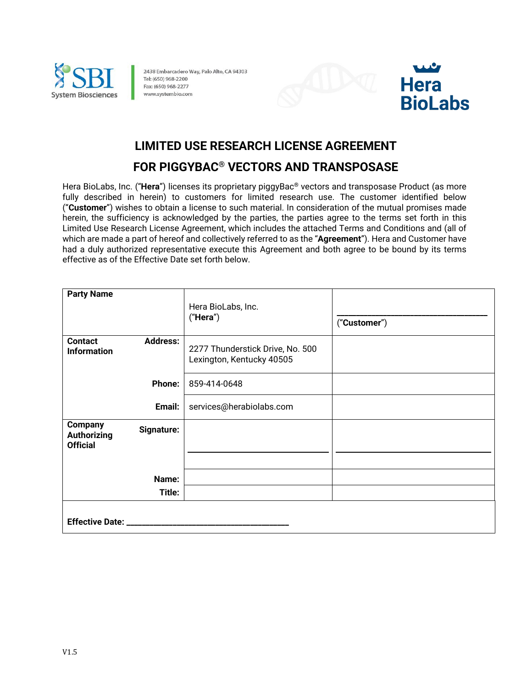

2438 Embarcadero Way, Palo Alto, CA 94303 Tel: (650) 968-2200 Fax: (650) 968-2277 www.systembio.com





# **LIMITED USE RESEARCH LICENSE AGREEMENT**

# **FOR PIGGYBAC® VECTORS AND TRANSPOSASE**

Hera BioLabs, Inc. ("**Hera**") licenses its proprietary piggyBac® vectors and transposase Product (as more fully described in herein) to customers for limited research use. The customer identified below ("**Customer**") wishes to obtain a license to such material. In consideration of the mutual promises made herein, the sufficiency is acknowledged by the parties, the parties agree to the terms set forth in this Limited Use Research License Agreement, which includes the attached Terms and Conditions and (all of which are made a part of hereof and collectively referred to as the "**Agreement**"). Hera and Customer have had a duly authorized representative execute this Agreement and both agree to be bound by its terms effective as of the Effective Date set forth below.

| <b>Party Name</b>                                |                 | Hera BioLabs, Inc.<br>("Hera")                                | ("Customer") |
|--------------------------------------------------|-----------------|---------------------------------------------------------------|--------------|
| <b>Contact</b><br><b>Information</b>             | <b>Address:</b> | 2277 Thunderstick Drive, No. 500<br>Lexington, Kentucky 40505 |              |
|                                                  | <b>Phone:</b>   | 859-414-0648                                                  |              |
|                                                  | Email:          | services@herabiolabs.com                                      |              |
| <b>Company</b><br>Authorizing<br><b>Official</b> | Signature:      |                                                               |              |
|                                                  |                 |                                                               |              |
|                                                  | Name:           |                                                               |              |
|                                                  | Title:          |                                                               |              |
| Effective Date: _____                            |                 |                                                               |              |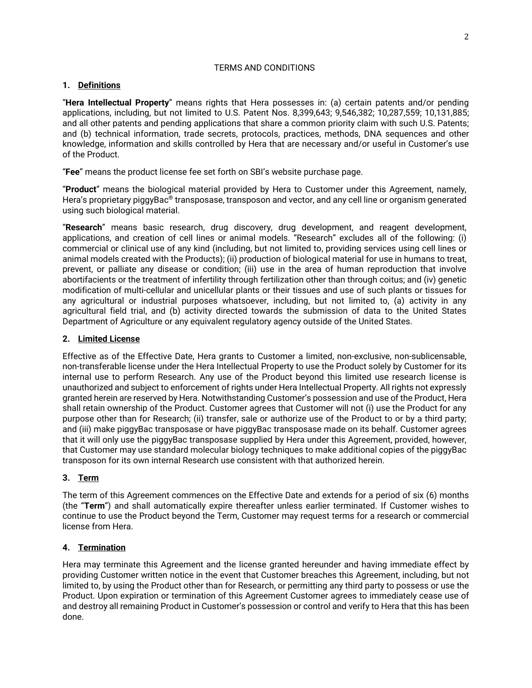# TERMS AND CONDITIONS

### **1. Definitions**

"**Hera Intellectual Property**" means rights that Hera possesses in: (a) certain patents and/or pending applications, including, but not limited to U.S. Patent Nos. 8,399,643; 9,546,382; 10,287,559; 10,131,885; and all other patents and pending applications that share a common priority claim with such U.S. Patents; and (b) technical information, trade secrets, protocols, practices, methods, DNA sequences and other knowledge, information and skills controlled by Hera that are necessary and/or useful in Customer's use of the Product.

"**Fee**" means the product license fee set forth on SBI's website purchase page.

"**Product**" means the biological material provided by Hera to Customer under this Agreement, namely, Hera's proprietary piggyBac® transposase, transposon and vector, and any cell line or organism generated using such biological material.

"**Research**" means basic research, drug discovery, drug development, and reagent development, applications, and creation of cell lines or animal models. "Research" excludes all of the following: (i) commercial or clinical use of any kind (including, but not limited to, providing services using cell lines or animal models created with the Products); (ii) production of biological material for use in humans to treat, prevent, or palliate any disease or condition; (iii) use in the area of human reproduction that involve abortifacients or the treatment of infertility through fertilization other than through coitus; and (iv) genetic modification of multi-cellular and unicellular plants or their tissues and use of such plants or tissues for any agricultural or industrial purposes whatsoever, including, but not limited to, (a) activity in any agricultural field trial, and (b) activity directed towards the submission of data to the United States Department of Agriculture or any equivalent regulatory agency outside of the United States.

# **2. Limited License**

Effective as of the Effective Date, Hera grants to Customer a limited, non-exclusive, non-sublicensable, non-transferable license under the Hera Intellectual Property to use the Product solely by Customer for its internal use to perform Research. Any use of the Product beyond this limited use research license is unauthorized and subject to enforcement of rights under Hera Intellectual Property. All rights not expressly granted herein are reserved by Hera. Notwithstanding Customer's possession and use of the Product, Hera shall retain ownership of the Product. Customer agrees that Customer will not (i) use the Product for any purpose other than for Research; (ii) transfer, sale or authorize use of the Product to or by a third party; and (iii) make piggyBac transposase or have piggyBac transposase made on its behalf. Customer agrees that it will only use the piggyBac transposase supplied by Hera under this Agreement, provided, however, that Customer may use standard molecular biology techniques to make additional copies of the piggyBac transposon for its own internal Research use consistent with that authorized herein.

# **3. Term**

The term of this Agreement commences on the Effective Date and extends for a period of six (6) months (the "**Term**") and shall automatically expire thereafter unless earlier terminated. If Customer wishes to continue to use the Product beyond the Term, Customer may request terms for a research or commercial license from Hera.

# **4. Termination**

Hera may terminate this Agreement and the license granted hereunder and having immediate effect by providing Customer written notice in the event that Customer breaches this Agreement, including, but not limited to, by using the Product other than for Research, or permitting any third party to possess or use the Product. Upon expiration or termination of this Agreement Customer agrees to immediately cease use of and destroy all remaining Product in Customer's possession or control and verify to Hera that this has been done.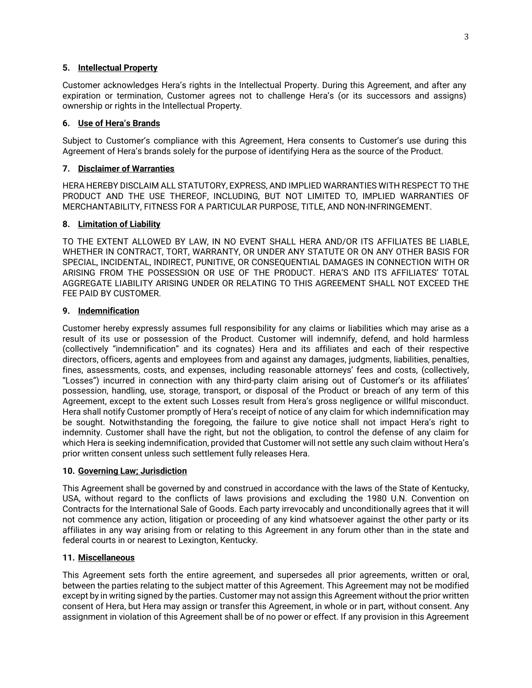#### **5. Intellectual Property**

Customer acknowledges Hera's rights in the Intellectual Property. During this Agreement, and after any expiration or termination, Customer agrees not to challenge Hera's (or its successors and assigns) ownership or rights in the Intellectual Property.

### **6. Use of Hera's Brands**

Subject to Customer's compliance with this Agreement, Hera consents to Customer's use during this Agreement of Hera's brands solely for the purpose of identifying Hera as the source of the Product.

#### **7. Disclaimer of Warranties**

HERA HEREBY DISCLAIM ALL STATUTORY, EXPRESS, AND IMPLIED WARRANTIES WITH RESPECT TO THE PRODUCT AND THE USE THEREOF, INCLUDING, BUT NOT LIMITED TO, IMPLIED WARRANTIES OF MERCHANTABILITY, FITNESS FOR A PARTICULAR PURPOSE, TITLE, AND NON-INFRINGEMENT.

#### **8. Limitation of Liability**

TO THE EXTENT ALLOWED BY LAW, IN NO EVENT SHALL HERA AND/OR ITS AFFILIATES BE LIABLE, WHETHER IN CONTRACT, TORT, WARRANTY, OR UNDER ANY STATUTE OR ON ANY OTHER BASIS FOR SPECIAL, INCIDENTAL, INDIRECT, PUNITIVE, OR CONSEQUENTIAL DAMAGES IN CONNECTION WITH OR ARISING FROM THE POSSESSION OR USE OF THE PRODUCT. HERA'S AND ITS AFFILIATES' TOTAL AGGREGATE LIABILITY ARISING UNDER OR RELATING TO THIS AGREEMENT SHALL NOT EXCEED THE FEE PAID BY CUSTOMER.

#### **9. Indemnification**

Customer hereby expressly assumes full responsibility for any claims or liabilities which may arise as a result of its use or possession of the Product. Customer will indemnify, defend, and hold harmless (collectively "indemnification" and its cognates) Hera and its affiliates and each of their respective directors, officers, agents and employees from and against any damages, judgments, liabilities, penalties, fines, assessments, costs, and expenses, including reasonable attorneys' fees and costs, (collectively, "Losses") incurred in connection with any third-party claim arising out of Customer's or its affiliates' possession, handling, use, storage, transport, or disposal of the Product or breach of any term of this Agreement, except to the extent such Losses result from Hera's gross negligence or willful misconduct. Hera shall notify Customer promptly of Hera's receipt of notice of any claim for which indemnification may be sought. Notwithstanding the foregoing, the failure to give notice shall not impact Hera's right to indemnity. Customer shall have the right, but not the obligation, to control the defense of any claim for which Hera is seeking indemnification, provided that Customer will not settle any such claim without Hera's prior written consent unless such settlement fully releases Hera.

# **10. Governing Law; Jurisdiction**

This Agreement shall be governed by and construed in accordance with the laws of the State of Kentucky, USA, without regard to the conflicts of laws provisions and excluding the 1980 U.N. Convention on Contracts for the International Sale of Goods. Each party irrevocably and unconditionally agrees that it will not commence any action, litigation or proceeding of any kind whatsoever against the other party or its affiliates in any way arising from or relating to this Agreement in any forum other than in the state and federal courts in or nearest to Lexington, Kentucky.

#### **11. Miscellaneous**

This Agreement sets forth the entire agreement, and supersedes all prior agreements, written or oral, between the parties relating to the subject matter of this Agreement. This Agreement may not be modified except by in writing signed by the parties. Customer may not assign this Agreement without the prior written consent of Hera, but Hera may assign or transfer this Agreement, in whole or in part, without consent. Any assignment in violation of this Agreement shall be of no power or effect. If any provision in this Agreement